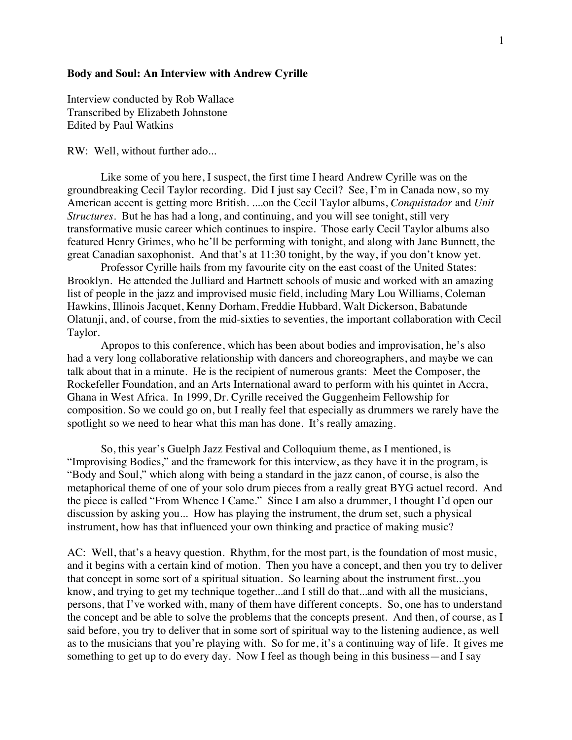## **Body and Soul: An Interview with Andrew Cyrille**

Interview conducted by Rob Wallace Transcribed by Elizabeth Johnstone Edited by Paul Watkins

RW: Well, without further ado...

Like some of you here, I suspect, the first time I heard Andrew Cyrille was on the groundbreaking Cecil Taylor recording. Did I just say Cecil? See, I'm in Canada now, so my American accent is getting more British. ....on the Cecil Taylor albums, *Conquistador* and *Unit Structures*. But he has had a long, and continuing, and you will see tonight, still very transformative music career which continues to inspire. Those early Cecil Taylor albums also featured Henry Grimes, who he'll be performing with tonight, and along with Jane Bunnett, the great Canadian saxophonist. And that's at 11:30 tonight, by the way, if you don't know yet.

Professor Cyrille hails from my favourite city on the east coast of the United States: Brooklyn. He attended the Julliard and Hartnett schools of music and worked with an amazing list of people in the jazz and improvised music field, including Mary Lou Williams, Coleman Hawkins, Illinois Jacquet, Kenny Dorham, Freddie Hubbard, Walt Dickerson, Babatunde Olatunji, and, of course, from the mid-sixties to seventies, the important collaboration with Cecil Taylor.

Apropos to this conference, which has been about bodies and improvisation, he's also had a very long collaborative relationship with dancers and choreographers, and maybe we can talk about that in a minute. He is the recipient of numerous grants: Meet the Composer, the Rockefeller Foundation, and an Arts International award to perform with his quintet in Accra, Ghana in West Africa. In 1999, Dr. Cyrille received the Guggenheim Fellowship for composition. So we could go on, but I really feel that especially as drummers we rarely have the spotlight so we need to hear what this man has done. It's really amazing.

So, this year's Guelph Jazz Festival and Colloquium theme, as I mentioned, is "Improvising Bodies," and the framework for this interview, as they have it in the program, is "Body and Soul," which along with being a standard in the jazz canon, of course, is also the metaphorical theme of one of your solo drum pieces from a really great BYG actuel record. And the piece is called "From Whence I Came." Since I am also a drummer, I thought I'd open our discussion by asking you... How has playing the instrument, the drum set, such a physical instrument, how has that influenced your own thinking and practice of making music?

AC: Well, that's a heavy question. Rhythm, for the most part, is the foundation of most music, and it begins with a certain kind of motion. Then you have a concept, and then you try to deliver that concept in some sort of a spiritual situation. So learning about the instrument first...you know, and trying to get my technique together...and I still do that...and with all the musicians, persons, that I've worked with, many of them have different concepts. So, one has to understand the concept and be able to solve the problems that the concepts present. And then, of course, as I said before, you try to deliver that in some sort of spiritual way to the listening audience, as well as to the musicians that you're playing with. So for me, it's a continuing way of life. It gives me something to get up to do every day. Now I feel as though being in this business—and I say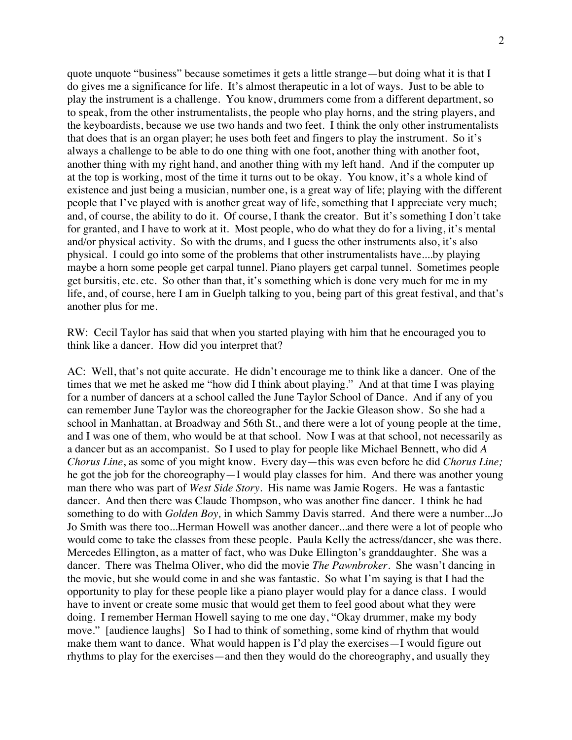quote unquote "business" because sometimes it gets a little strange—but doing what it is that I do gives me a significance for life. It's almost therapeutic in a lot of ways. Just to be able to play the instrument is a challenge. You know, drummers come from a different department, so to speak, from the other instrumentalists, the people who play horns, and the string players, and the keyboardists, because we use two hands and two feet. I think the only other instrumentalists that does that is an organ player; he uses both feet and fingers to play the instrument. So it's always a challenge to be able to do one thing with one foot, another thing with another foot, another thing with my right hand, and another thing with my left hand. And if the computer up at the top is working, most of the time it turns out to be okay. You know, it's a whole kind of existence and just being a musician, number one, is a great way of life; playing with the different people that I've played with is another great way of life, something that I appreciate very much; and, of course, the ability to do it. Of course, I thank the creator. But it's something I don't take for granted, and I have to work at it. Most people, who do what they do for a living, it's mental and/or physical activity. So with the drums, and I guess the other instruments also, it's also physical. I could go into some of the problems that other instrumentalists have....by playing maybe a horn some people get carpal tunnel. Piano players get carpal tunnel. Sometimes people get bursitis, etc. etc. So other than that, it's something which is done very much for me in my life, and, of course, here I am in Guelph talking to you, being part of this great festival, and that's another plus for me.

RW: Cecil Taylor has said that when you started playing with him that he encouraged you to think like a dancer. How did you interpret that?

AC: Well, that's not quite accurate. He didn't encourage me to think like a dancer. One of the times that we met he asked me "how did I think about playing." And at that time I was playing for a number of dancers at a school called the June Taylor School of Dance. And if any of you can remember June Taylor was the choreographer for the Jackie Gleason show. So she had a school in Manhattan, at Broadway and 56th St., and there were a lot of young people at the time, and I was one of them, who would be at that school. Now I was at that school, not necessarily as a dancer but as an accompanist. So I used to play for people like Michael Bennett, who did *A Chorus Line*, as some of you might know. Every day—this was even before he did *Chorus Line;*  he got the job for the choreography—I would play classes for him. And there was another young man there who was part of *West Side Story.* His name was Jamie Rogers. He was a fantastic dancer. And then there was Claude Thompson, who was another fine dancer. I think he had something to do with *Golden Boy,* in which Sammy Davis starred. And there were a number...Jo Jo Smith was there too...Herman Howell was another dancer...and there were a lot of people who would come to take the classes from these people. Paula Kelly the actress/dancer, she was there. Mercedes Ellington, as a matter of fact, who was Duke Ellington's granddaughter. She was a dancer. There was Thelma Oliver, who did the movie *The Pawnbroker.* She wasn't dancing in the movie, but she would come in and she was fantastic. So what I'm saying is that I had the opportunity to play for these people like a piano player would play for a dance class. I would have to invent or create some music that would get them to feel good about what they were doing. I remember Herman Howell saying to me one day, "Okay drummer, make my body move." [audience laughs] So I had to think of something, some kind of rhythm that would make them want to dance. What would happen is I'd play the exercises—I would figure out rhythms to play for the exercises—and then they would do the choreography, and usually they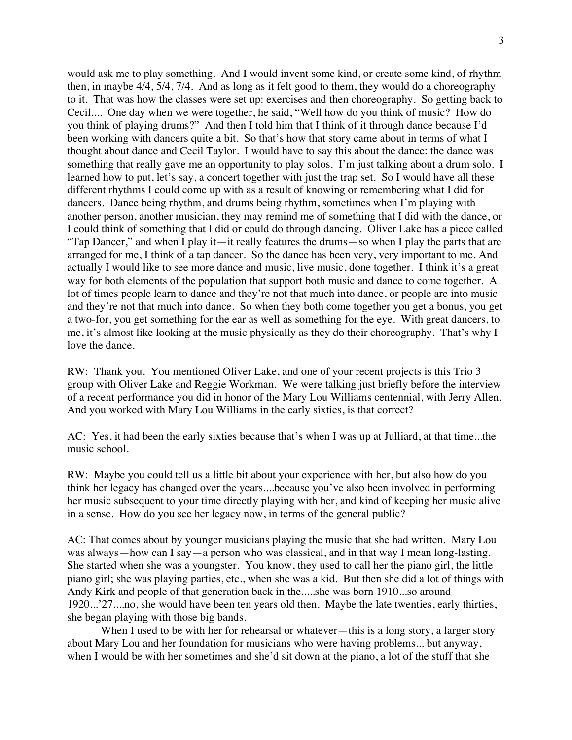would ask me to play something. And I would invent some kind, or create some kind, of rhythm then, in maybe 4/4, 5/4, 7/4. And as long as it felt good to them, they would do a choreography to it. That was how the classes were set up: exercises and then choreography. So getting back to Cecil.... One day when we were together, he said, "Well how do you think of music? How do you think of playing drums?" And then I told him that I think of it through dance because I'd been working with dancers quite a bit. So that's how that story came about in terms of what I thought about dance and Cecil Taylor. I would have to say this about the dance: the dance was something that really gave me an opportunity to play solos. I'm just talking about a drum solo. I learned how to put, let's say, a concert together with just the trap set. So I would have all these different rhythms I could come up with as a result of knowing or remembering what I did for dancers. Dance being rhythm, and drums being rhythm, sometimes when I'm playing with another person, another musician, they may remind me of something that I did with the dance, or I could think of something that I did or could do through dancing. Oliver Lake has a piece called "Tap Dancer," and when I play it—it really features the drums—so when I play the parts that are arranged for me, I think of a tap dancer. So the dance has been very, very important to me. And actually I would like to see more dance and music, live music, done together. I think it's a great way for both elements of the population that support both music and dance to come together. A lot of times people learn to dance and they're not that much into dance, or people are into music and they're not that much into dance. So when they both come together you get a bonus, you get a two-for, you get something for the ear as well as something for the eye. With great dancers, to me, it's almost like looking at the music physically as they do their choreography. That's why I love the dance.

RW: Thank you. You mentioned Oliver Lake, and one of your recent projects is this Trio 3 group with Oliver Lake and Reggie Workman. We were talking just briefly before the interview of a recent performance you did in honor of the Mary Lou Williams centennial, with Jerry Allen. And you worked with Mary Lou Williams in the early sixties, is that correct?

AC: Yes, it had been the early sixties because that's when I was up at Julliard, at that time...the music school.

RW: Maybe you could tell us a little bit about your experience with her, but also how do you think her legacy has changed over the years....because you've also been involved in performing her music subsequent to your time directly playing with her, and kind of keeping her music alive in a sense. How do you see her legacy now, in terms of the general public?

AC: That comes about by younger musicians playing the music that she had written. Mary Lou was always—how can I say—a person who was classical, and in that way I mean long-lasting. She started when she was a youngster. You know, they used to call her the piano girl, the little piano girl; she was playing parties, etc., when she was a kid. But then she did a lot of things with Andy Kirk and people of that generation back in the.....she was born 1910...so around 1920...'27....no, she would have been ten years old then. Maybe the late twenties, early thirties, she began playing with those big bands.

When I used to be with her for rehearsal or whatever—this is a long story, a larger story about Mary Lou and her foundation for musicians who were having problems... but anyway, when I would be with her sometimes and she'd sit down at the piano, a lot of the stuff that she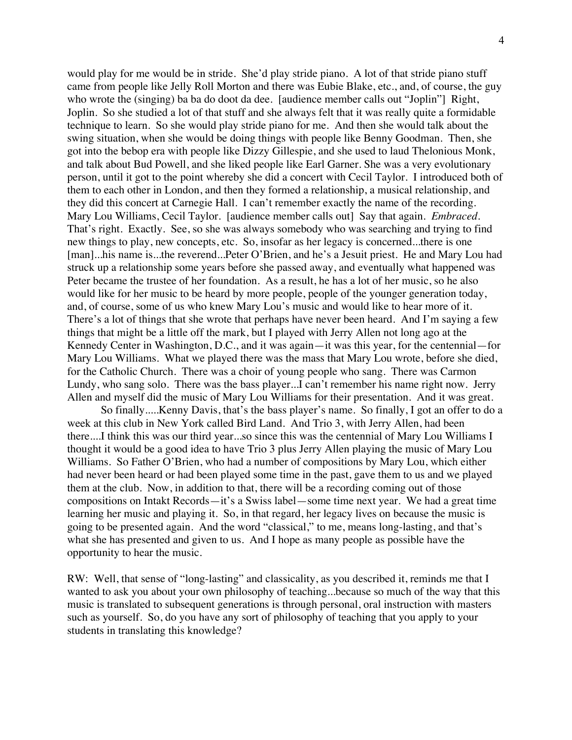would play for me would be in stride. She'd play stride piano. A lot of that stride piano stuff came from people like Jelly Roll Morton and there was Eubie Blake, etc., and, of course, the guy who wrote the (singing) ba ba do doot da dee. [audience member calls out "Joplin"] Right, Joplin. So she studied a lot of that stuff and she always felt that it was really quite a formidable technique to learn. So she would play stride piano for me. And then she would talk about the swing situation, when she would be doing things with people like Benny Goodman. Then, she got into the bebop era with people like Dizzy Gillespie, and she used to laud Thelonious Monk, and talk about Bud Powell, and she liked people like Earl Garner. She was a very evolutionary person, until it got to the point whereby she did a concert with Cecil Taylor. I introduced both of them to each other in London, and then they formed a relationship, a musical relationship, and they did this concert at Carnegie Hall. I can't remember exactly the name of the recording. Mary Lou Williams, Cecil Taylor. [audience member calls out] Say that again. *Embraced.*  That's right. Exactly. See, so she was always somebody who was searching and trying to find new things to play, new concepts, etc. So, insofar as her legacy is concerned...there is one [man]...his name is...the reverend...Peter O'Brien, and he's a Jesuit priest. He and Mary Lou had struck up a relationship some years before she passed away, and eventually what happened was Peter became the trustee of her foundation. As a result, he has a lot of her music, so he also would like for her music to be heard by more people, people of the younger generation today, and, of course, some of us who knew Mary Lou's music and would like to hear more of it. There's a lot of things that she wrote that perhaps have never been heard. And I'm saying a few things that might be a little off the mark, but I played with Jerry Allen not long ago at the Kennedy Center in Washington, D.C., and it was again—it was this year, for the centennial—for Mary Lou Williams. What we played there was the mass that Mary Lou wrote, before she died, for the Catholic Church. There was a choir of young people who sang. There was Carmon Lundy, who sang solo. There was the bass player...I can't remember his name right now. Jerry Allen and myself did the music of Mary Lou Williams for their presentation. And it was great.

So finally.....Kenny Davis, that's the bass player's name. So finally, I got an offer to do a week at this club in New York called Bird Land. And Trio 3, with Jerry Allen, had been there....I think this was our third year...so since this was the centennial of Mary Lou Williams I thought it would be a good idea to have Trio 3 plus Jerry Allen playing the music of Mary Lou Williams. So Father O'Brien, who had a number of compositions by Mary Lou, which either had never been heard or had been played some time in the past, gave them to us and we played them at the club. Now, in addition to that, there will be a recording coming out of those compositions on Intakt Records—it's a Swiss label—some time next year. We had a great time learning her music and playing it. So, in that regard, her legacy lives on because the music is going to be presented again. And the word "classical," to me, means long-lasting, and that's what she has presented and given to us. And I hope as many people as possible have the opportunity to hear the music.

RW: Well, that sense of "long-lasting" and classicality, as you described it, reminds me that I wanted to ask you about your own philosophy of teaching...because so much of the way that this music is translated to subsequent generations is through personal, oral instruction with masters such as yourself. So, do you have any sort of philosophy of teaching that you apply to your students in translating this knowledge?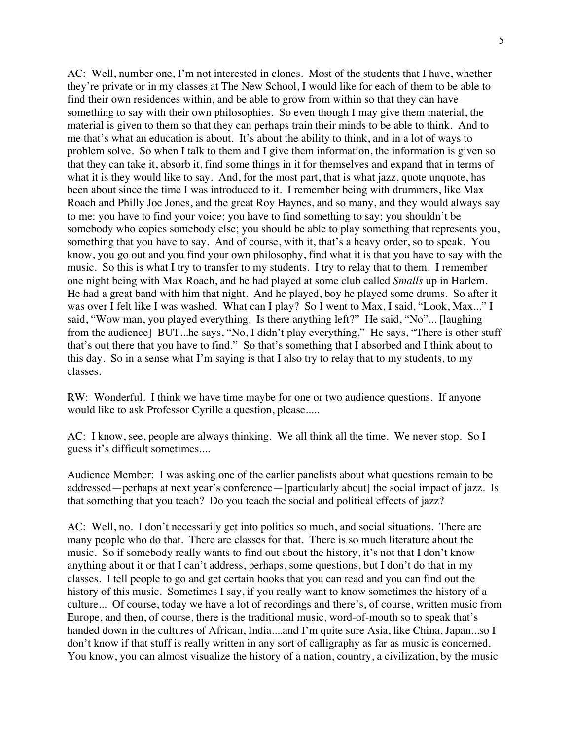AC: Well, number one, I'm not interested in clones. Most of the students that I have, whether they're private or in my classes at The New School, I would like for each of them to be able to find their own residences within, and be able to grow from within so that they can have something to say with their own philosophies. So even though I may give them material, the material is given to them so that they can perhaps train their minds to be able to think. And to me that's what an education is about. It's about the ability to think, and in a lot of ways to problem solve. So when I talk to them and I give them information, the information is given so that they can take it, absorb it, find some things in it for themselves and expand that in terms of what it is they would like to say. And, for the most part, that is what jazz, quote unquote, has been about since the time I was introduced to it. I remember being with drummers, like Max Roach and Philly Joe Jones, and the great Roy Haynes, and so many, and they would always say to me: you have to find your voice; you have to find something to say; you shouldn't be somebody who copies somebody else; you should be able to play something that represents you, something that you have to say. And of course, with it, that's a heavy order, so to speak. You know, you go out and you find your own philosophy, find what it is that you have to say with the music. So this is what I try to transfer to my students. I try to relay that to them. I remember one night being with Max Roach, and he had played at some club called *Smalls* up in Harlem. He had a great band with him that night. And he played, boy he played some drums. So after it was over I felt like I was washed. What can I play? So I went to Max, I said, "Look, Max..." I said, "Wow man, you played everything. Is there anything left?" He said, "No"... [laughing from the audience] BUT...he says, "No, I didn't play everything." He says, "There is other stuff that's out there that you have to find." So that's something that I absorbed and I think about to this day. So in a sense what I'm saying is that I also try to relay that to my students, to my classes.

RW: Wonderful. I think we have time maybe for one or two audience questions. If anyone would like to ask Professor Cyrille a question, please.....

AC: I know, see, people are always thinking. We all think all the time. We never stop. So I guess it's difficult sometimes....

Audience Member: I was asking one of the earlier panelists about what questions remain to be addressed—perhaps at next year's conference—[particularly about] the social impact of jazz. Is that something that you teach? Do you teach the social and political effects of jazz?

AC: Well, no. I don't necessarily get into politics so much, and social situations. There are many people who do that. There are classes for that. There is so much literature about the music. So if somebody really wants to find out about the history, it's not that I don't know anything about it or that I can't address, perhaps, some questions, but I don't do that in my classes. I tell people to go and get certain books that you can read and you can find out the history of this music. Sometimes I say, if you really want to know sometimes the history of a culture... Of course, today we have a lot of recordings and there's, of course, written music from Europe, and then, of course, there is the traditional music, word-of-mouth so to speak that's handed down in the cultures of African, India....and I'm quite sure Asia, like China, Japan...so I don't know if that stuff is really written in any sort of calligraphy as far as music is concerned. You know, you can almost visualize the history of a nation, country, a civilization, by the music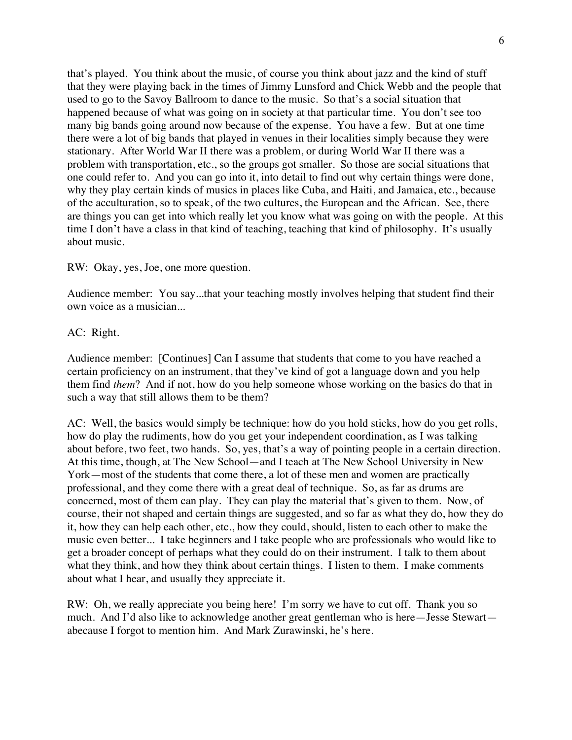that's played. You think about the music, of course you think about jazz and the kind of stuff that they were playing back in the times of Jimmy Lunsford and Chick Webb and the people that used to go to the Savoy Ballroom to dance to the music. So that's a social situation that happened because of what was going on in society at that particular time. You don't see too many big bands going around now because of the expense. You have a few. But at one time there were a lot of big bands that played in venues in their localities simply because they were stationary. After World War II there was a problem, or during World War II there was a problem with transportation, etc., so the groups got smaller. So those are social situations that one could refer to. And you can go into it, into detail to find out why certain things were done, why they play certain kinds of musics in places like Cuba, and Haiti, and Jamaica, etc., because of the acculturation, so to speak, of the two cultures, the European and the African. See, there are things you can get into which really let you know what was going on with the people. At this time I don't have a class in that kind of teaching, teaching that kind of philosophy. It's usually about music.

RW: Okay, yes, Joe, one more question.

Audience member: You say...that your teaching mostly involves helping that student find their own voice as a musician...

## AC: Right.

Audience member: [Continues] Can I assume that students that come to you have reached a certain proficiency on an instrument, that they've kind of got a language down and you help them find *them*? And if not, how do you help someone whose working on the basics do that in such a way that still allows them to be them?

AC: Well, the basics would simply be technique: how do you hold sticks, how do you get rolls, how do play the rudiments, how do you get your independent coordination, as I was talking about before, two feet, two hands. So, yes, that's a way of pointing people in a certain direction. At this time, though, at The New School—and I teach at The New School University in New York—most of the students that come there, a lot of these men and women are practically professional, and they come there with a great deal of technique. So, as far as drums are concerned, most of them can play. They can play the material that's given to them. Now, of course, their not shaped and certain things are suggested, and so far as what they do, how they do it, how they can help each other, etc., how they could, should, listen to each other to make the music even better... I take beginners and I take people who are professionals who would like to get a broader concept of perhaps what they could do on their instrument. I talk to them about what they think, and how they think about certain things. I listen to them. I make comments about what I hear, and usually they appreciate it.

RW: Oh, we really appreciate you being here! I'm sorry we have to cut off. Thank you so much. And I'd also like to acknowledge another great gentleman who is here—Jesse Stewart abecause I forgot to mention him. And Mark Zurawinski, he's here.